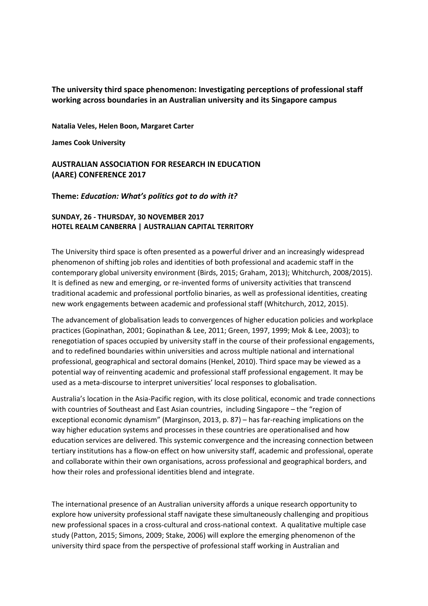## **The university third space phenomenon: Investigating perceptions of professional staff working across boundaries in an Australian university and its Singapore campus**

**Natalia Veles, Helen Boon, Margaret Carter**

**James Cook University** 

## **AUSTRALIAN ASSOCIATION FOR RESEARCH IN EDUCATION (AARE) CONFERENCE 2017**

**Theme:** *Education: What's politics got to do with it?*

## **SUNDAY, 26 - THURSDAY, 30 NOVEMBER 2017 HOTEL REALM CANBERRA | AUSTRALIAN CAPITAL TERRITORY**

The University third space is often presented as a powerful driver and an increasingly widespread phenomenon of shifting job roles and identities of both professional and academic staff in the contemporary global university environment (Birds, 2015; Graham, 2013); Whitchurch, 2008/2015). It is defined as new and emerging, or re-invented forms of university activities that transcend traditional academic and professional portfolio binaries, as well as professional identities, creating new work engagements between academic and professional staff (Whitchurch, 2012, 2015).

The advancement of globalisation leads to convergences of higher education policies and workplace practices (Gopinathan, 2001; Gopinathan & Lee, 2011; Green, 1997, 1999; Mok & Lee, 2003); to renegotiation of spaces occupied by university staff in the course of their professional engagements, and to redefined boundaries within universities and across multiple national and international professional, geographical and sectoral domains (Henkel, 2010). Third space may be viewed as a potential way of reinventing academic and professional staff professional engagement. It may be used as a meta-discourse to interpret universities' local responses to globalisation.

Australia's location in the Asia-Pacific region, with its close political, economic and trade connections with countries of Southeast and East Asian countries, including Singapore – the "region of exceptional economic dynamism" (Marginson, 2013, p. 87) – has far-reaching implications on the way higher education systems and processes in these countries are operationalised and how education services are delivered. This systemic convergence and the increasing connection between tertiary institutions has a flow-on effect on how university staff, academic and professional, operate and collaborate within their own organisations, across professional and geographical borders, and how their roles and professional identities blend and integrate.

The international presence of an Australian university affords a unique research opportunity to explore how university professional staff navigate these simultaneously challenging and propitious new professional spaces in a cross-cultural and cross-national context. A qualitative multiple case study (Patton, 2015; Simons, 2009; Stake, 2006) will explore the emerging phenomenon of the university third space from the perspective of professional staff working in Australian and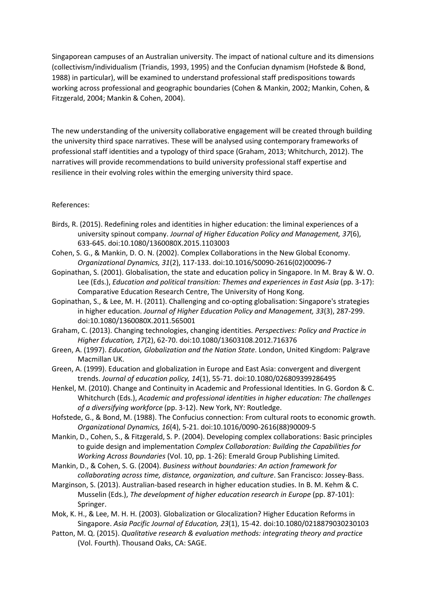Singaporean campuses of an Australian university. The impact of national culture and its dimensions (collectivism/individualism (Triandis, 1993, 1995) and the Confucian dynamism (Hofstede & Bond, 1988) in particular), will be examined to understand professional staff predispositions towards working across professional and geographic boundaries (Cohen & Mankin, 2002; Mankin, Cohen, & Fitzgerald, 2004; Mankin & Cohen, 2004).

The new understanding of the university collaborative engagement will be created through building the university third space narratives. These will be analysed using contemporary frameworks of professional staff identities and a typology of third space (Graham, 2013; Whitchurch, 2012). The narratives will provide recommendations to build university professional staff expertise and resilience in their evolving roles within the emerging university third space.

## References:

- Birds, R. (2015). Redefining roles and identities in higher education: the liminal experiences of a university spinout company. *Journal of Higher Education Policy and Management, 37*(6), 633-645. doi:10.1080/1360080X.2015.1103003
- Cohen, S. G., & Mankin, D. O. N. (2002). Complex Collaborations in the New Global Economy. *Organizational Dynamics, 31*(2), 117-133. doi:10.1016/S0090-2616(02)00096-7
- Gopinathan, S. (2001). Globalisation, the state and education policy in Singapore. In M. Bray & W. O. Lee (Eds.), *Education and political transition: Themes and experiences in East Asia* (pp. 3-17): Comparative Education Research Centre, The University of Hong Kong.
- Gopinathan, S., & Lee, M. H. (2011). Challenging and co-opting globalisation: Singapore's strategies in higher education. *Journal of Higher Education Policy and Management, 33*(3), 287-299. doi:10.1080/1360080X.2011.565001
- Graham, C. (2013). Changing technologies, changing identities. *Perspectives: Policy and Practice in Higher Education, 17*(2), 62-70. doi:10.1080/13603108.2012.716376
- Green, A. (1997). *Education, Globalization and the Nation State*. London, United Kingdom: Palgrave Macmillan UK.
- Green, A. (1999). Education and globalization in Europe and East Asia: convergent and divergent trends. *Journal of education policy, 14*(1), 55-71. doi:10.1080/026809399286495
- Henkel, M. (2010). Change and Continuity in Academic and Professional Identities. In G. Gordon & C. Whitchurch (Eds.), *Academic and professional identities in higher education: The challenges of a diversifying workforce* (pp. 3-12). New York, NY: Routledge.
- Hofstede, G., & Bond, M. (1988). The Confucius connection: From cultural roots to economic growth. *Organizational Dynamics, 16*(4), 5-21. doi:10.1016/0090-2616(88)90009-5
- Mankin, D., Cohen, S., & Fitzgerald, S. P. (2004). Developing complex collaborations: Basic principles to guide design and implementation *Complex Collaboration: Building the Capabilities for Working Across Boundaries* (Vol. 10, pp. 1-26): Emerald Group Publishing Limited.
- Mankin, D., & Cohen, S. G. (2004). *Business without boundaries: An action framework for collaborating across time, distance, organization, and culture*. San Francisco: Jossey-Bass.
- Marginson, S. (2013). Australian-based research in higher education studies. In B. M. Kehm & C. Musselin (Eds.), *The development of higher education research in Europe* (pp. 87-101): Springer.
- Mok, K. H., & Lee, M. H. H. (2003). Globalization or Glocalization? Higher Education Reforms in Singapore. *Asia Pacific Journal of Education, 23*(1), 15-42. doi:10.1080/0218879030230103
- Patton, M. Q. (2015). *Qualitative research & evaluation methods: integrating theory and practice* (Vol. Fourth). Thousand Oaks, CA: SAGE.